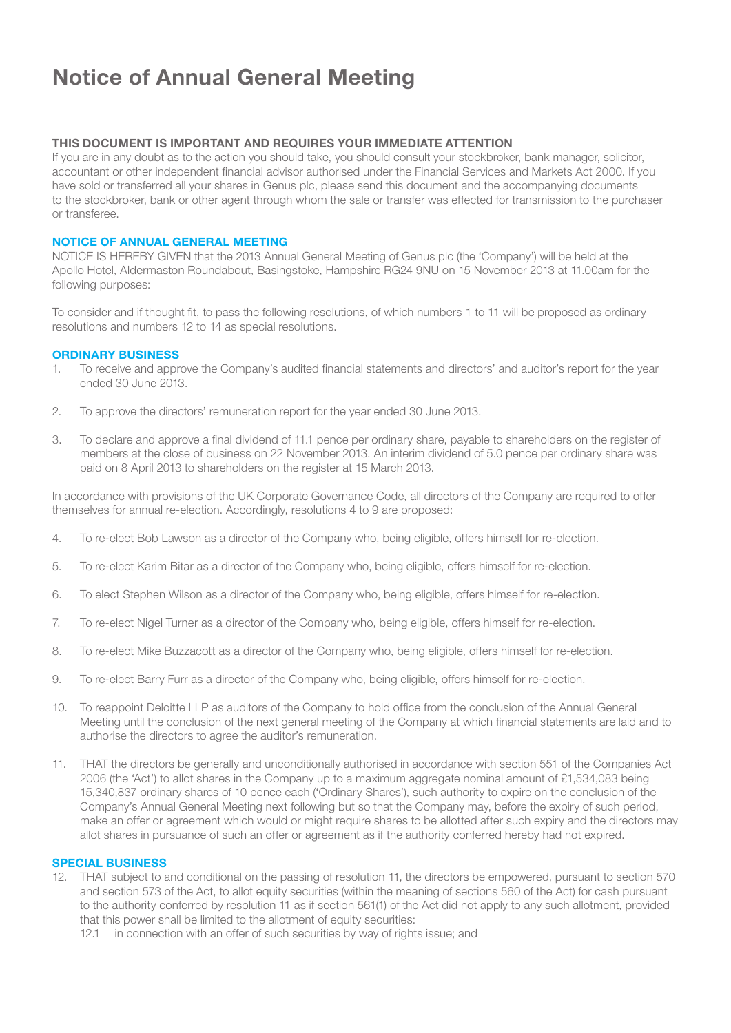# Notice of Annual General Meeting

#### THIS DOCUMENT IS IMPORTANT AND REQUIRES YOUR IMMEDIATE ATTENTION

If you are in any doubt as to the action you should take, you should consult your stockbroker, bank manager, solicitor, accountant or other independent financial advisor authorised under the Financial Services and Markets Act 2000. If you have sold or transferred all your shares in Genus plc, please send this document and the accompanying documents to the stockbroker, bank or other agent through whom the sale or transfer was effected for transmission to the purchaser or transferee.

#### NOTICE OF ANNUAL GENERAL MEETING

NOTICE IS HEREBY GIVEN that the 2013 Annual General Meeting of Genus plc (the 'Company') will be held at the Apollo Hotel, Aldermaston Roundabout, Basingstoke, Hampshire RG24 9NU on 15 November 2013 at 11.00am for the following purposes:

To consider and if thought fit, to pass the following resolutions, of which numbers 1 to 11 will be proposed as ordinary resolutions and numbers 12 to 14 as special resolutions.

#### ORDINARY BUSINESS

- 1. To receive and approve the Company's audited financial statements and directors' and auditor's report for the year ended 30 June 2013.
- 2. To approve the directors' remuneration report for the year ended 30 June 2013.
- 3. To declare and approve a final dividend of 11.1 pence per ordinary share, payable to shareholders on the register of members at the close of business on 22 November 2013. An interim dividend of 5.0 pence per ordinary share was paid on 8 April 2013 to shareholders on the register at 15 March 2013.

In accordance with provisions of the UK Corporate Governance Code, all directors of the Company are required to offer themselves for annual re-election. Accordingly, resolutions 4 to 9 are proposed:

- 4. To re-elect Bob Lawson as a director of the Company who, being eligible, offers himself for re-election.
- 5. To re-elect Karim Bitar as a director of the Company who, being eligible, offers himself for re-election.
- 6. To elect Stephen Wilson as a director of the Company who, being eligible, offers himself for re-election.
- 7. To re-elect Nigel Turner as a director of the Company who, being eligible, offers himself for re-election.
- 8. To re-elect Mike Buzzacott as a director of the Company who, being eligible, offers himself for re-election.
- 9. To re-elect Barry Furr as a director of the Company who, being eligible, offers himself for re-election.
- 10. To reappoint Deloitte LLP as auditors of the Company to hold office from the conclusion of the Annual General Meeting until the conclusion of the next general meeting of the Company at which financial statements are laid and to authorise the directors to agree the auditor's remuneration.
- 11. THAT the directors be generally and unconditionally authorised in accordance with section 551 of the Companies Act 2006 (the 'Act') to allot shares in the Company up to a maximum aggregate nominal amount of £1,534,083 being 15,340,837 ordinary shares of 10 pence each ('Ordinary Shares'), such authority to expire on the conclusion of the Company's Annual General Meeting next following but so that the Company may, before the expiry of such period, make an offer or agreement which would or might require shares to be allotted after such expiry and the directors may allot shares in pursuance of such an offer or agreement as if the authority conferred hereby had not expired.

#### SPECIAL BUSINESS

- 12. THAT subject to and conditional on the passing of resolution 11, the directors be empowered, pursuant to section 570 and section 573 of the Act, to allot equity securities (within the meaning of sections 560 of the Act) for cash pursuant to the authority conferred by resolution 11 as if section 561(1) of the Act did not apply to any such allotment, provided that this power shall be limited to the allotment of equity securities:
	- 12.1 in connection with an offer of such securities by way of rights issue; and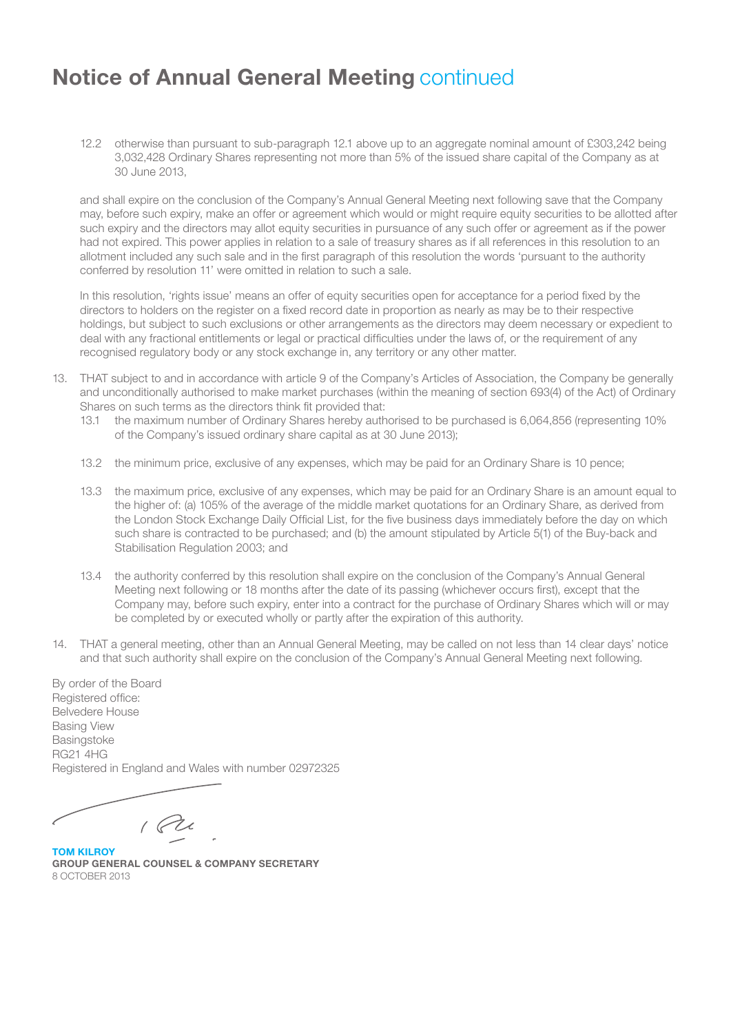### Notice of Annual General Meeting continued

12.2 otherwise than pursuant to sub-paragraph 12.1 above up to an aggregate nominal amount of £303,242 being 3,032,428 Ordinary Shares representing not more than 5% of the issued share capital of the Company as at 30 June 2013,

and shall expire on the conclusion of the Company's Annual General Meeting next following save that the Company may, before such expiry, make an offer or agreement which would or might require equity securities to be allotted after such expiry and the directors may allot equity securities in pursuance of any such offer or agreement as if the power had not expired. This power applies in relation to a sale of treasury shares as if all references in this resolution to an allotment included any such sale and in the first paragraph of this resolution the words 'pursuant to the authority conferred by resolution 11' were omitted in relation to such a sale.

In this resolution, 'rights issue' means an offer of equity securities open for acceptance for a period fixed by the directors to holders on the register on a fixed record date in proportion as nearly as may be to their respective holdings, but subject to such exclusions or other arrangements as the directors may deem necessary or expedient to deal with any fractional entitlements or legal or practical difficulties under the laws of, or the requirement of any recognised regulatory body or any stock exchange in, any territory or any other matter.

- 13. THAT subject to and in accordance with article 9 of the Company's Articles of Association, the Company be generally and unconditionally authorised to make market purchases (within the meaning of section 693(4) of the Act) of Ordinary Shares on such terms as the directors think fit provided that:
	- 13.1 the maximum number of Ordinary Shares hereby authorised to be purchased is 6,064,856 (representing 10% of the Company's issued ordinary share capital as at 30 June 2013);
	- 13.2 the minimum price, exclusive of any expenses, which may be paid for an Ordinary Share is 10 pence;
	- 13.3 the maximum price, exclusive of any expenses, which may be paid for an Ordinary Share is an amount equal to the higher of: (a) 105% of the average of the middle market quotations for an Ordinary Share, as derived from the London Stock Exchange Daily Official List, for the five business days immediately before the day on which such share is contracted to be purchased; and (b) the amount stipulated by Article 5(1) of the Buy-back and Stabilisation Regulation 2003; and
	- 13.4 the authority conferred by this resolution shall expire on the conclusion of the Company's Annual General Meeting next following or 18 months after the date of its passing (whichever occurs first), except that the Company may, before such expiry, enter into a contract for the purchase of Ordinary Shares which will or may be completed by or executed wholly or partly after the expiration of this authority.
- 14. THAT a general meeting, other than an Annual General Meeting, may be called on not less than 14 clear days' notice and that such authority shall expire on the conclusion of the Company's Annual General Meeting next following.

By order of the Board Registered office: Belvedere House Basing View **Basingstoke** RG21 4HG Registered in England and Wales with number 02972325

 $1$ 

TOM KILROY GROUP GENERAL COUNSEL & COMPANY SECRETARY 8 OCTOBER 2013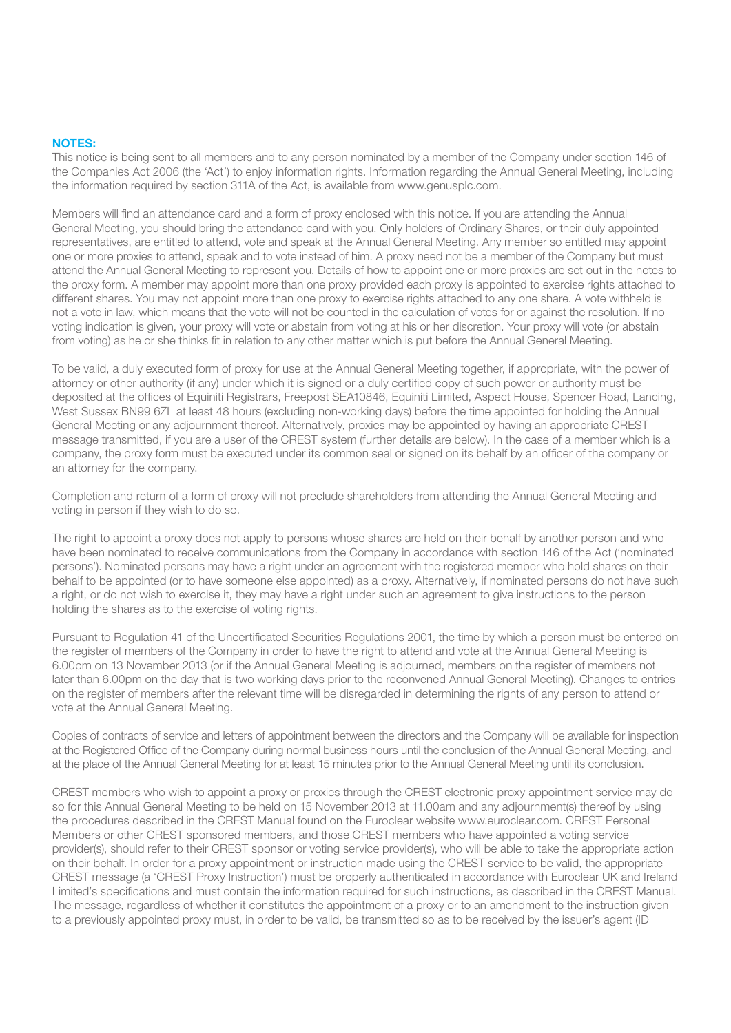#### NOTES:

This notice is being sent to all members and to any person nominated by a member of the Company under section 146 of the Companies Act 2006 (the 'Act') to enjoy information rights. Information regarding the Annual General Meeting, including the information required by section 311A of the Act, is available from www.genusplc.com.

Members will find an attendance card and a form of proxy enclosed with this notice. If you are attending the Annual General Meeting, you should bring the attendance card with you. Only holders of Ordinary Shares, or their duly appointed representatives, are entitled to attend, vote and speak at the Annual General Meeting. Any member so entitled may appoint one or more proxies to attend, speak and to vote instead of him. A proxy need not be a member of the Company but must attend the Annual General Meeting to represent you. Details of how to appoint one or more proxies are set out in the notes to the proxy form. A member may appoint more than one proxy provided each proxy is appointed to exercise rights attached to different shares. You may not appoint more than one proxy to exercise rights attached to any one share. A vote withheld is not a vote in law, which means that the vote will not be counted in the calculation of votes for or against the resolution. If no voting indication is given, your proxy will vote or abstain from voting at his or her discretion. Your proxy will vote (or abstain from voting) as he or she thinks fit in relation to any other matter which is put before the Annual General Meeting.

To be valid, a duly executed form of proxy for use at the Annual General Meeting together, if appropriate, with the power of attorney or other authority (if any) under which it is signed or a duly certified copy of such power or authority must be deposited at the offices of Equiniti Registrars, Freepost SEA10846, Equiniti Limited, Aspect House, Spencer Road, Lancing, West Sussex BN99 6ZL at least 48 hours (excluding non-working days) before the time appointed for holding the Annual General Meeting or any adjournment thereof. Alternatively, proxies may be appointed by having an appropriate CREST message transmitted, if you are a user of the CREST system (further details are below). In the case of a member which is a company, the proxy form must be executed under its common seal or signed on its behalf by an officer of the company or an attorney for the company.

Completion and return of a form of proxy will not preclude shareholders from attending the Annual General Meeting and voting in person if they wish to do so.

The right to appoint a proxy does not apply to persons whose shares are held on their behalf by another person and who have been nominated to receive communications from the Company in accordance with section 146 of the Act ('nominated persons'). Nominated persons may have a right under an agreement with the registered member who hold shares on their behalf to be appointed (or to have someone else appointed) as a proxy. Alternatively, if nominated persons do not have such a right, or do not wish to exercise it, they may have a right under such an agreement to give instructions to the person holding the shares as to the exercise of voting rights.

Pursuant to Regulation 41 of the Uncertificated Securities Regulations 2001, the time by which a person must be entered on the register of members of the Company in order to have the right to attend and vote at the Annual General Meeting is 6.00pm on 13 November 2013 (or if the Annual General Meeting is adjourned, members on the register of members not later than 6.00pm on the day that is two working days prior to the reconvened Annual General Meeting). Changes to entries on the register of members after the relevant time will be disregarded in determining the rights of any person to attend or vote at the Annual General Meeting.

Copies of contracts of service and letters of appointment between the directors and the Company will be available for inspection at the Registered Office of the Company during normal business hours until the conclusion of the Annual General Meeting, and at the place of the Annual General Meeting for at least 15 minutes prior to the Annual General Meeting until its conclusion.

CREST members who wish to appoint a proxy or proxies through the CREST electronic proxy appointment service may do so for this Annual General Meeting to be held on 15 November 2013 at 11.00am and any adjournment(s) thereof by using the procedures described in the CREST Manual found on the Euroclear website www.euroclear.com. CREST Personal Members or other CREST sponsored members, and those CREST members who have appointed a voting service provider(s), should refer to their CREST sponsor or voting service provider(s), who will be able to take the appropriate action on their behalf. In order for a proxy appointment or instruction made using the CREST service to be valid, the appropriate CREST message (a 'CREST Proxy Instruction') must be properly authenticated in accordance with Euroclear UK and Ireland Limited's specifications and must contain the information required for such instructions, as described in the CREST Manual. The message, regardless of whether it constitutes the appointment of a proxy or to an amendment to the instruction given to a previously appointed proxy must, in order to be valid, be transmitted so as to be received by the issuer's agent (ID